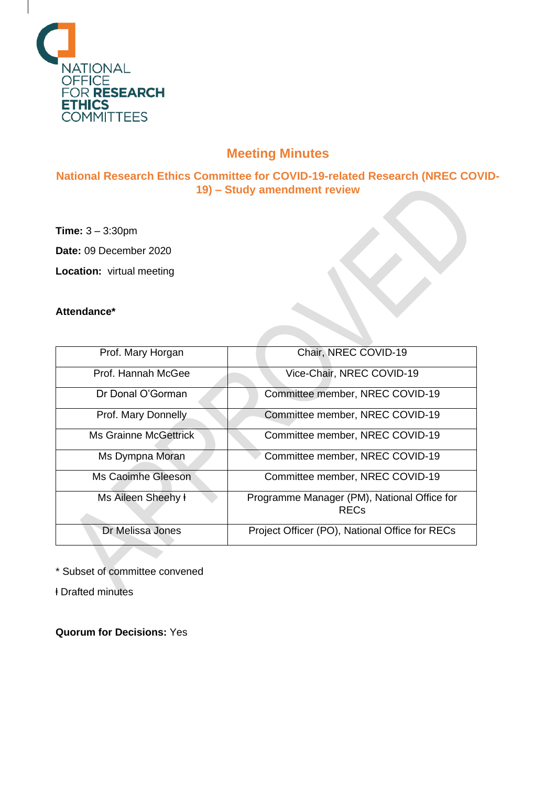

## **Meeting Minutes**

**National Research Ethics Committee for COVID-19-related Research (NREC COVID-19) – Study amendment review**

**Time:** 3 – 3:30pm

**Date:** 09 December 2020

**Location:** virtual meeting

## **Attendance\***

| Prof. Mary Horgan            | Chair, NREC COVID-19                                       |
|------------------------------|------------------------------------------------------------|
| Prof. Hannah McGee           | Vice-Chair, NREC COVID-19                                  |
| Dr Donal O'Gorman            | Committee member, NREC COVID-19                            |
| Prof. Mary Donnelly          | Committee member, NREC COVID-19                            |
| <b>Ms Grainne McGettrick</b> | Committee member, NREC COVID-19                            |
| Ms Dympna Moran              | Committee member, NREC COVID-19                            |
| Ms Caoimhe Gleeson           | Committee member, NREC COVID-19                            |
| Ms Aileen Sheehy ł           | Programme Manager (PM), National Office for<br><b>RECs</b> |
| Dr Melissa Jones             | Project Officer (PO), National Office for RECs             |

\* Subset of committee convened

ⱡ Drafted minutes

**Quorum for Decisions:** Yes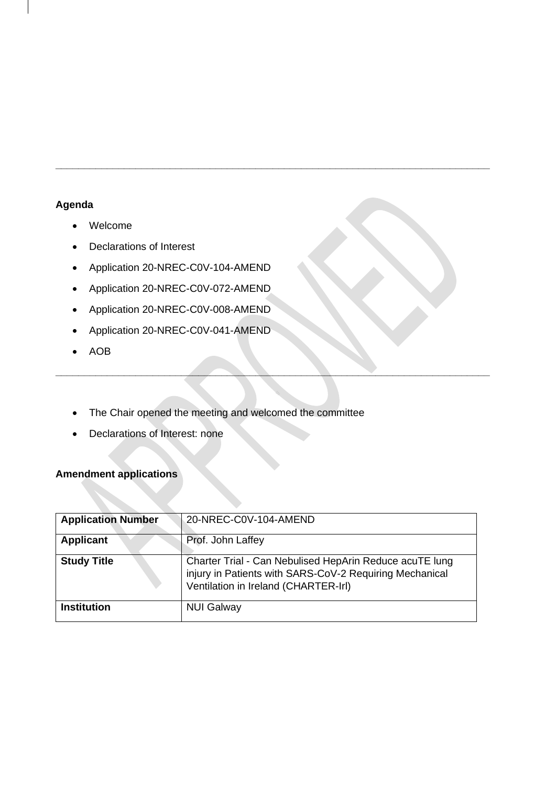## **Agenda**

- Welcome
- Declarations of Interest
- Application 20-NREC-C0V-104-AMEND
- Application 20-NREC-C0V-072-AMEND
- Application 20-NREC-C0V-008-AMEND
- Application 20-NREC-C0V-041-AMEND
- AOB
- The Chair opened the meeting and welcomed the committee
- Declarations of Interest: none

## **Amendment applications**

| <b>Application Number</b> | 20-NREC-C0V-104-AMEND                                                                                                                                      |
|---------------------------|------------------------------------------------------------------------------------------------------------------------------------------------------------|
| <b>Applicant</b>          | Prof. John Laffey                                                                                                                                          |
| <b>Study Title</b>        | Charter Trial - Can Nebulised HepArin Reduce acuTE lung<br>injury in Patients with SARS-CoV-2 Requiring Mechanical<br>Ventilation in Ireland (CHARTER-Irl) |
| <b>Institution</b>        | <b>NUI Galway</b>                                                                                                                                          |

**\_\_\_\_\_\_\_\_\_\_\_\_\_\_\_\_\_\_\_\_\_\_\_\_\_\_\_\_\_\_\_\_\_\_\_\_\_\_\_\_\_\_\_\_\_\_\_\_\_\_\_\_\_\_\_\_\_\_\_\_\_\_\_\_\_\_\_\_\_\_\_\_\_\_\_\_**

**\_\_\_\_\_\_\_\_\_\_\_\_\_\_\_\_\_\_\_\_\_\_\_\_\_\_\_\_\_\_\_\_\_\_\_\_\_\_\_\_\_\_\_\_\_\_\_\_\_\_\_\_\_\_\_\_\_\_\_\_\_\_\_\_\_\_\_\_\_\_\_\_\_\_\_\_**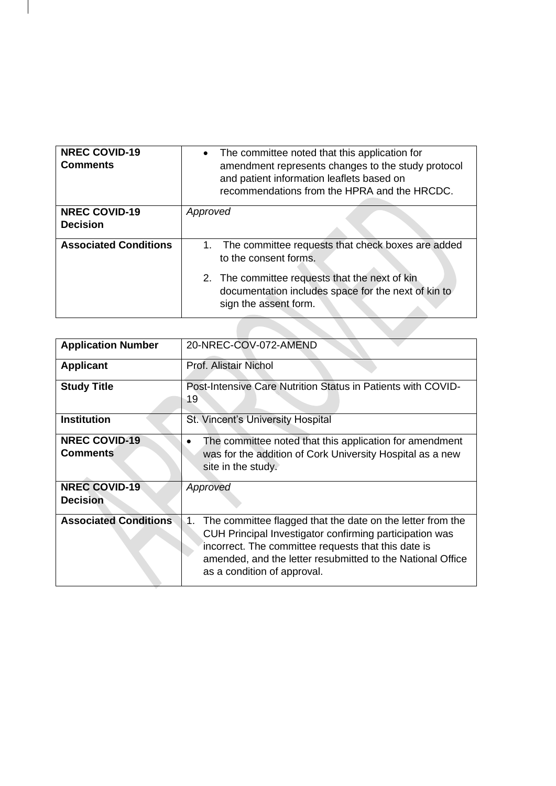| <b>NREC COVID-19</b><br><b>Comments</b> | • The committee noted that this application for<br>amendment represents changes to the study protocol<br>and patient information leaflets based on<br>recommendations from the HPRA and the HRCDC. |
|-----------------------------------------|----------------------------------------------------------------------------------------------------------------------------------------------------------------------------------------------------|
| <b>NREC COVID-19</b>                    | Approved                                                                                                                                                                                           |
| <b>Decision</b>                         |                                                                                                                                                                                                    |
|                                         |                                                                                                                                                                                                    |
| <b>Associated Conditions</b>            | 1. The committee requests that check boxes are added<br>to the consent forms.                                                                                                                      |
|                                         | 2. The committee requests that the next of kin<br>documentation includes space for the next of kin to<br>sign the assent form.                                                                     |
|                                         |                                                                                                                                                                                                    |

| <b>Application Number</b>               | 20-NREC-COV-072-AMEND                                                                                                                                                                                                                                                           |
|-----------------------------------------|---------------------------------------------------------------------------------------------------------------------------------------------------------------------------------------------------------------------------------------------------------------------------------|
| <b>Applicant</b>                        | Prof. Alistair Nichol                                                                                                                                                                                                                                                           |
| <b>Study Title</b>                      | Post-Intensive Care Nutrition Status in Patients with COVID-<br>19                                                                                                                                                                                                              |
| <b>Institution</b>                      | St. Vincent's University Hospital                                                                                                                                                                                                                                               |
| <b>NREC COVID-19</b><br><b>Comments</b> | The committee noted that this application for amendment<br>was for the addition of Cork University Hospital as a new<br>site in the study.                                                                                                                                      |
| <b>NREC COVID-19</b><br><b>Decision</b> | Approved                                                                                                                                                                                                                                                                        |
| <b>Associated Conditions</b>            | 1.<br>The committee flagged that the date on the letter from the<br>CUH Principal Investigator confirming participation was<br>incorrect. The committee requests that this date is<br>amended, and the letter resubmitted to the National Office<br>as a condition of approval. |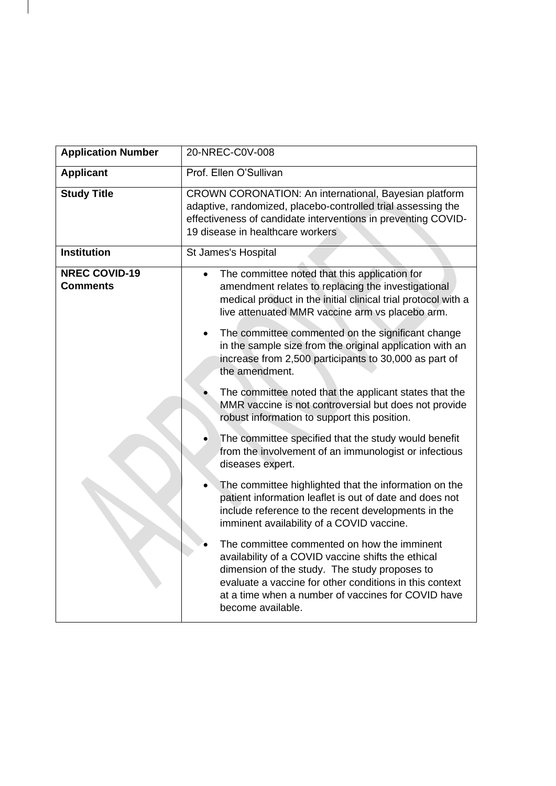| <b>Application Number</b>               | 20-NREC-C0V-008                                                                                                                                                                                                                                                                          |
|-----------------------------------------|------------------------------------------------------------------------------------------------------------------------------------------------------------------------------------------------------------------------------------------------------------------------------------------|
| <b>Applicant</b>                        | Prof. Ellen O'Sullivan                                                                                                                                                                                                                                                                   |
| <b>Study Title</b>                      | CROWN CORONATION: An international, Bayesian platform<br>adaptive, randomized, placebo-controlled trial assessing the<br>effectiveness of candidate interventions in preventing COVID-<br>19 disease in healthcare workers                                                               |
| <b>Institution</b>                      | St James's Hospital                                                                                                                                                                                                                                                                      |
| <b>NREC COVID-19</b><br><b>Comments</b> | The committee noted that this application for<br>amendment relates to replacing the investigational<br>medical product in the initial clinical trial protocol with a<br>live attenuated MMR vaccine arm vs placebo arm.                                                                  |
|                                         | The committee commented on the significant change<br>in the sample size from the original application with an<br>increase from 2,500 participants to 30,000 as part of<br>the amendment.                                                                                                 |
|                                         | The committee noted that the applicant states that the<br>MMR vaccine is not controversial but does not provide<br>robust information to support this position.                                                                                                                          |
|                                         | The committee specified that the study would benefit<br>from the involvement of an immunologist or infectious<br>diseases expert.                                                                                                                                                        |
|                                         | The committee highlighted that the information on the<br>patient information leaflet is out of date and does not<br>include reference to the recent developments in the<br>imminent availability of a COVID vaccine.                                                                     |
|                                         | The committee commented on how the imminent<br>availability of a COVID vaccine shifts the ethical<br>dimension of the study. The study proposes to<br>evaluate a vaccine for other conditions in this context<br>at a time when a number of vaccines for COVID have<br>become available. |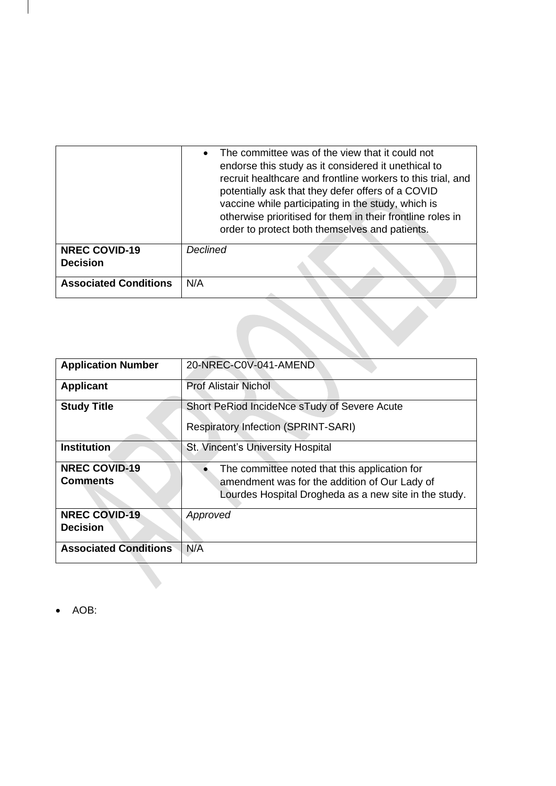|                              | The committee was of the view that it could not<br>endorse this study as it considered it unethical to<br>recruit healthcare and frontline workers to this trial, and<br>potentially ask that they defer offers of a COVID<br>vaccine while participating in the study, which is<br>otherwise prioritised for them in their frontline roles in<br>order to protect both themselves and patients. |
|------------------------------|--------------------------------------------------------------------------------------------------------------------------------------------------------------------------------------------------------------------------------------------------------------------------------------------------------------------------------------------------------------------------------------------------|
| <b>NREC COVID-19</b>         | <b>Declined</b>                                                                                                                                                                                                                                                                                                                                                                                  |
| <b>Decision</b>              |                                                                                                                                                                                                                                                                                                                                                                                                  |
| <b>Associated Conditions</b> | N/A                                                                                                                                                                                                                                                                                                                                                                                              |
|                              |                                                                                                                                                                                                                                                                                                                                                                                                  |

| <b>Application Number</b>               | 20-NREC-C0V-041-AMEND                                                                                                                                   |
|-----------------------------------------|---------------------------------------------------------------------------------------------------------------------------------------------------------|
| <b>Applicant</b>                        | <b>Prof Alistair Nichol</b>                                                                                                                             |
| <b>Study Title</b>                      | Short PeRiod IncideNce sTudy of Severe Acute                                                                                                            |
|                                         | <b>Respiratory Infection (SPRINT-SARI)</b>                                                                                                              |
| <b>Institution</b>                      | St. Vincent's University Hospital                                                                                                                       |
| <b>NREC COVID-19</b><br><b>Comments</b> | The committee noted that this application for<br>amendment was for the addition of Our Lady of<br>Lourdes Hospital Drogheda as a new site in the study. |
| <b>NREC COVID-19</b><br><b>Decision</b> | Approved                                                                                                                                                |
| <b>Associated Conditions</b>            | N/A                                                                                                                                                     |

• AOB:

 $\overline{\phantom{a}}$